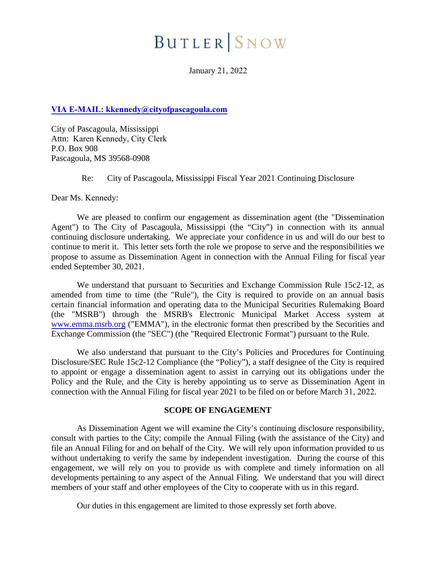# **BUTLER** SNOW

January 21, 2022

## **VIA E-MAIL: kkennedy@cityofpascagoula.com**

City of Pascagoula, Mississippi Attn: Karen Kennedy, City Clerk P.O. Box 908 Pascagoula, MS 39568-0908

Re: City of Pascagoula, Mississippi Fiscal Year 2021 Continuing Disclosure

Dear Ms. Kennedy:

We are pleased to confirm our engagement as dissemination agent (the "Dissemination Agent") to The City of Pascagoula, Mississippi (the "City") in connection with its annual continuing disclosure undertaking. We appreciate your confidence in us and will do our best to continue to merit it. This letter sets forth the role we propose to serve and the responsibilities we propose to assume as Dissemination Agent in connection with the Annual Filing for fiscal year ended September 30, 2021.

We understand that pursuant to Securities and Exchange Commission Rule 15c2-12, as amended from time to time (the "Rule"), the City is required to provide on an annual basis certain financial information and operating data to the Municipal Securities Rulemaking Board (the "MSRB") through the MSRB's Electronic Municipal Market Access system at www.emma.msrb.org ("EMMA"), in the electronic format then prescribed by the Securities and Exchange Commission (the "SEC") (the "Required Electronic Format") pursuant to the Rule.

We also understand that pursuant to the City's Policies and Procedures for Continuing Disclosure/SEC Rule 15c2-12 Compliance (the "Policy"), a staff designee of the City is required to appoint or engage a dissemination agent to assist in carrying out its obligations under the Policy and the Rule, and the City is hereby appointing us to serve as Dissemination Agent in connection with the Annual Filing for fiscal year 2021 to be filed on or before March 31, 2022.

## **SCOPE OF ENGAGEMENT**

As Dissemination Agent we will examine the City's continuing disclosure responsibility, consult with parties to the City; compile the Annual Filing (with the assistance of the City) and file an Annual Filing for and on behalf of the City. We will rely upon information provided to us without undertaking to verify the same by independent investigation. During the course of this engagement, we will rely on you to provide us with complete and timely information on all developments pertaining to any aspect of the Annual Filing. We understand that you will direct members of your staff and other employees of the City to cooperate with us in this regard.

Our duties in this engagement are limited to those expressly set forth above.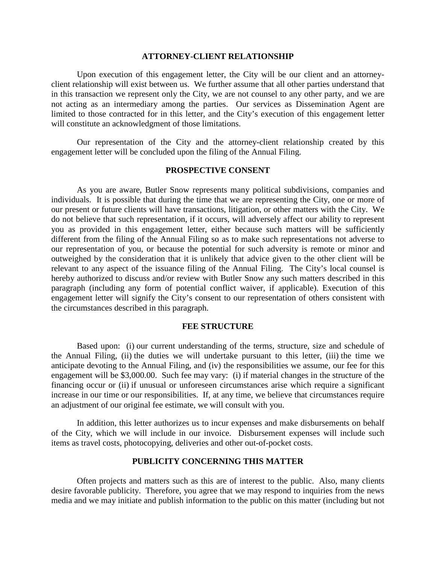#### **ATTORNEY-CLIENT RELATIONSHIP**

Upon execution of this engagement letter, the City will be our client and an attorneyclient relationship will exist between us. We further assume that all other parties understand that in this transaction we represent only the City, we are not counsel to any other party, and we are not acting as an intermediary among the parties. Our services as Dissemination Agent are limited to those contracted for in this letter, and the City's execution of this engagement letter will constitute an acknowledgment of those limitations.

Our representation of the City and the attorney-client relationship created by this engagement letter will be concluded upon the filing of the Annual Filing.

### **PROSPECTIVE CONSENT**

As you are aware, Butler Snow represents many political subdivisions, companies and individuals. It is possible that during the time that we are representing the City, one or more of our present or future clients will have transactions, litigation, or other matters with the City. We do not believe that such representation, if it occurs, will adversely affect our ability to represent you as provided in this engagement letter, either because such matters will be sufficiently different from the filing of the Annual Filing so as to make such representations not adverse to our representation of you, or because the potential for such adversity is remote or minor and outweighed by the consideration that it is unlikely that advice given to the other client will be relevant to any aspect of the issuance filing of the Annual Filing. The City's local counsel is hereby authorized to discuss and/or review with Butler Snow any such matters described in this paragraph (including any form of potential conflict waiver, if applicable). Execution of this engagement letter will signify the City's consent to our representation of others consistent with the circumstances described in this paragraph.

#### **FEE STRUCTURE**

Based upon: (i) our current understanding of the terms, structure, size and schedule of the Annual Filing, (ii) the duties we will undertake pursuant to this letter, (iii) the time we anticipate devoting to the Annual Filing, and (iv) the responsibilities we assume, our fee for this engagement will be \$3,000.00. Such fee may vary: (i) if material changes in the structure of the financing occur or (ii) if unusual or unforeseen circumstances arise which require a significant increase in our time or our responsibilities. If, at any time, we believe that circumstances require an adjustment of our original fee estimate, we will consult with you.

In addition, this letter authorizes us to incur expenses and make disbursements on behalf of the City, which we will include in our invoice. Disbursement expenses will include such items as travel costs, photocopying, deliveries and other out-of-pocket costs.

#### **PUBLICITY CONCERNING THIS MATTER**

Often projects and matters such as this are of interest to the public. Also, many clients desire favorable publicity. Therefore, you agree that we may respond to inquiries from the news media and we may initiate and publish information to the public on this matter (including but not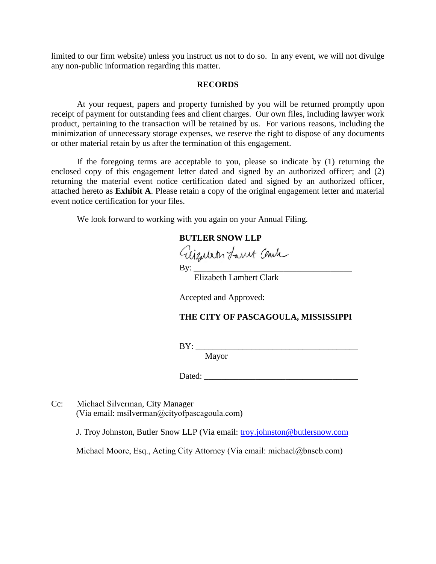limited to our firm website) unless you instruct us not to do so. In any event, we will not divulge any non-public information regarding this matter.

#### **RECORDS**

At your request, papers and property furnished by you will be returned promptly upon receipt of payment for outstanding fees and client charges. Our own files, including lawyer work product, pertaining to the transaction will be retained by us. For various reasons, including the minimization of unnecessary storage expenses, we reserve the right to dispose of any documents or other material retain by us after the termination of this engagement.

If the foregoing terms are acceptable to you, please so indicate by (1) returning the enclosed copy of this engagement letter dated and signed by an authorized officer; and (2) returning the material event notice certification dated and signed by an authorized officer, attached hereto as **Exhibit A**. Please retain a copy of the original engagement letter and material event notice certification for your files.

We look forward to working with you again on your Annual Filing.

## **BUTLER SNOW LLP**

Giizubeth Lanut Cente

Elizabeth Lambert Clark

Accepted and Approved:

## **THE CITY OF PASCAGOULA, MISSISSIPPI**

BY: \_\_\_\_\_\_\_\_\_\_\_\_\_\_\_\_\_\_\_\_\_\_\_\_\_\_\_\_\_\_\_\_\_\_\_\_\_\_

Mayor

Dated: \_\_\_\_\_\_\_\_\_\_\_\_\_\_\_\_\_\_\_\_\_\_\_\_\_\_\_\_\_\_\_\_\_\_\_\_

Cc: Michael Silverman, City Manager (Via email: msilverman@cityofpascagoula.com)

J. Troy Johnston, Butler Snow LLP (Via email: troy.johnston@butlersnow.com

Michael Moore, Esq., Acting City Attorney (Via email: michael@bnscb.com)